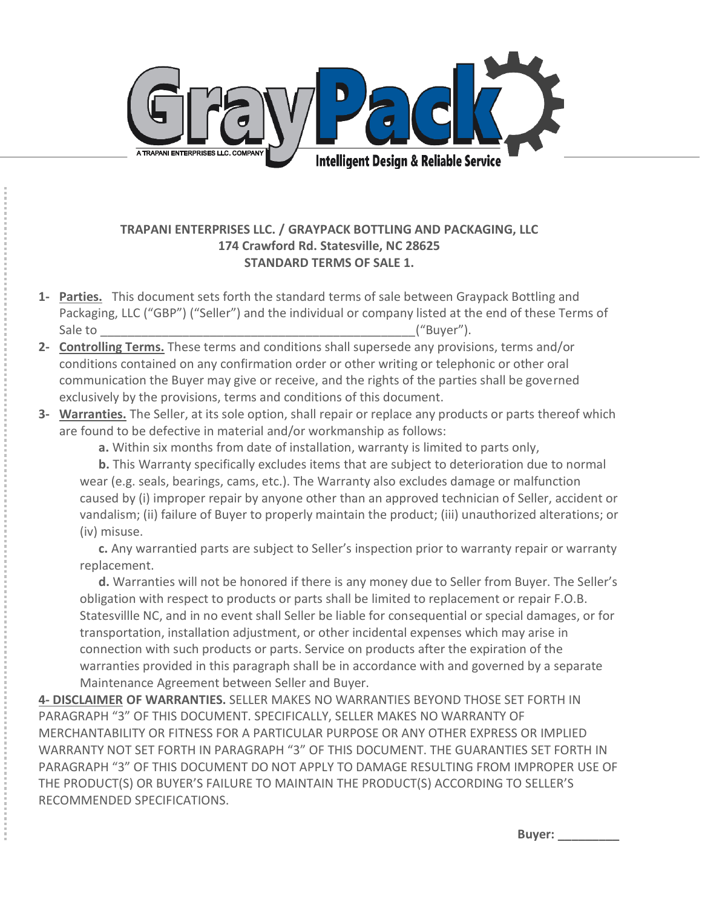

## **TRAPANI ENTERPRISES LLC. / GRAYPACK BOTTLING AND PACKAGING, LLC 174 Crawford Rd. Statesville, NC 28625 STANDARD TERMS OF SALE 1.**

- **1- Parties.** This document sets forth the standard terms of sale between Graypack Bottling and Packaging, LLC ("GBP") ("Seller") and the individual or company listed at the end of these Terms of Sale to \_\_\_\_\_\_\_\_\_\_\_\_\_\_\_\_\_\_\_\_\_\_\_\_\_\_\_\_\_\_\_\_\_\_\_\_\_\_\_\_\_\_\_\_\_\_;͞BƵLJeƌ͟Ϳ͘
- **2- Controlling Terms.** These terms and conditions shall supersede any provisions, terms and/or conditions contained on any confirmation order or other writing or telephonic or other oral communication the Buyer may give or receive, and the rights of the parties shall be governed exclusively by the provisions, terms and conditions of this document.
- **3- Warranties.** The Seller, at its sole option, shall repair or replace any products or parts thereof which are found to be defective in material and/or workmanship as follows:

 **a.** Within six months from date of installation, warranty is limited to parts only,

 **b.** This Warranty specifically excludes items that are subject to deterioration due to normal wear (e.g. seals, bearings, cams, etc.). The Warranty also excludes damage or malfunction caused by (i) improper repair by anyone other than an approved technician of Seller, accident or vandalism; (ii) failure of Buyer to properly maintain the product; (iii) unauthorized alterations; or (iv) misuse.

**c.** Any warrantied parts are subject to Seller's inspection prior to warranty repair or warranty replacement.

**d.** Warranties will not be honored if there is any money due to Seller from Buyer. The Seller's obligation with respect to products or parts shall be limited to replacement or repair F.O.B. Statesvillle NC, and in no event shall Seller be liable for consequential or special damages, or for transportation, installation adjustment, or other incidental expenses which may arise in connection with such products or parts. Service on products after the expiration of the warranties provided in this paragraph shall be in accordance with and governed by a separate Maintenance Agreement between Seller and Buyer.

**4- DISCLAIMER OF WARRANTIES.** SELLER MAKES NO WARRANTIES BEYOND THOSE SET FORTH IN PARAGRAPH "3" OF THIS DOCUMENT. SPECIFICALLY, SELLER MAKES NO WARRANTY OF MERCHANTABILITY OR FITNESS FOR A PARTICULAR PURPOSE OR ANY OTHER EXPRESS OR IMPLIED WARRANTY NOT SET FORTH IN PARAGRAPH "3" OF THIS DOCUMENT. THE GUARANTIES SET FORTH IN PARAGRAPH "3" OF THIS DOCUMENT DO NOT APPLY TO DAMAGE RESULTING FROM IMPROPER USE OF THE PRODUCT(S) OR BUYER'S FAILURE TO MAINTAIN THE PRODUCT(S) ACCORDING TO SELLER'S RECOMMENDED SPECIFICATIONS.

**Buyer: \_\_\_\_\_\_\_\_\_**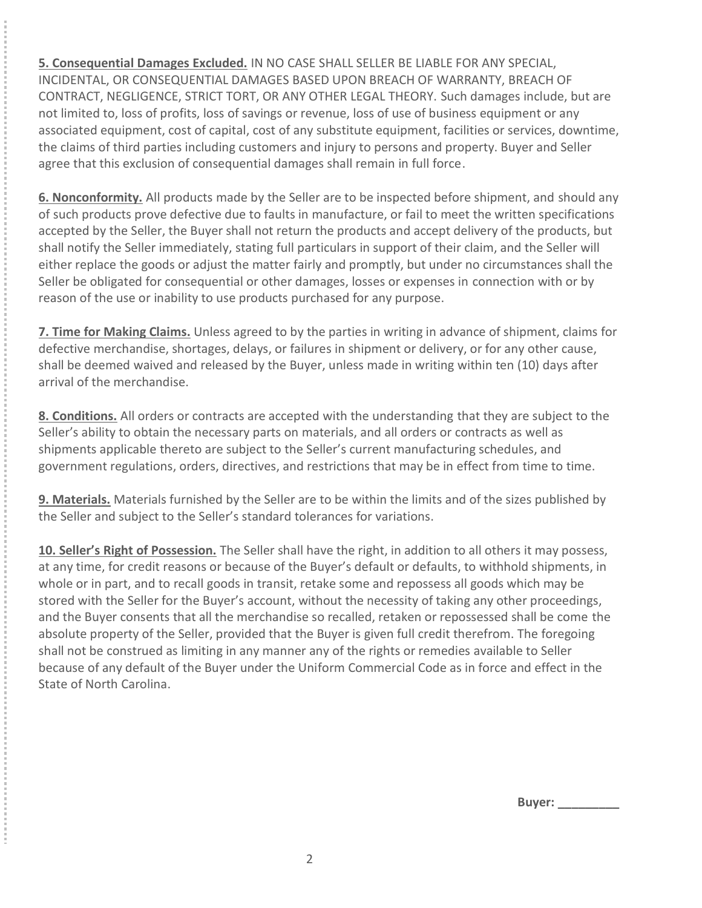**5. Consequential Damages Excluded.** IN NO CASE SHALL SELLER BE LIABLE FOR ANY SPECIAL, INCIDENTAL, OR CONSEQUENTIAL DAMAGES BASED UPON BREACH OF WARRANTY, BREACH OF CONTRACT, NEGLIGENCE, STRICT TORT, OR ANY OTHER LEGAL THEORY. Such damages include, but are not limited to, loss of profits, loss of savings or revenue, loss of use of business equipment or any associated equipment, cost of capital, cost of any substitute equipment, facilities or services, downtime, the claims of third parties including customers and injury to persons and property. Buyer and Seller agree that this exclusion of consequential damages shall remain in full force.

**6. Nonconformity.** All products made by the Seller are to be inspected before shipment, and should any of such products prove defective due to faults in manufacture, or fail to meet the written specifications accepted by the Seller, the Buyer shall not return the products and accept delivery of the products, but shall notify the Seller immediately, stating full particulars in support of their claim, and the Seller will either replace the goods or adjust the matter fairly and promptly, but under no circumstances shall the Seller be obligated for consequential or other damages, losses or expenses in connection with or by reason of the use or inability to use products purchased for any purpose.

**7. Time for Making Claims.** Unless agreed to by the parties in writing in advance of shipment, claims for defective merchandise, shortages, delays, or failures in shipment or delivery, or for any other cause, shall be deemed waived and released by the Buyer, unless made in writing within ten (10) days after arrival of the merchandise.

**8. Conditions.** All orders or contracts are accepted with the understanding that they are subject to the Seller's ability to obtain the necessary parts on materials, and all orders or contracts as well as shipments applicable thereto are subject to the Seller's current manufacturing schedules, and government regulations, orders, directives, and restrictions that may be in effect from time to time.

**9. Materials.** Materials furnished by the Seller are to be within the limits and of the sizes published by the Seller and subject to the Seller's standard tolerances for variations.

10. Seller's Right of Possession. The Seller shall have the right, in addition to all others it may possess, at any time, for credit reasons or because of the Buyer's default or defaults, to withhold shipments, in whole or in part, and to recall goods in transit, retake some and repossess all goods which may be stored with the Seller for the Buyer's account, without the necessity of taking any other proceedings, and the Buyer consents that all the merchandise so recalled, retaken or repossessed shall be come the absolute property of the Seller, provided that the Buyer is given full credit therefrom. The foregoing shall not be construed as limiting in any manner any of the rights or remedies available to Seller because of any default of the Buyer under the Uniform Commercial Code as in force and effect in the State of North Carolina.

**Buyer: \_\_\_\_\_\_\_\_\_**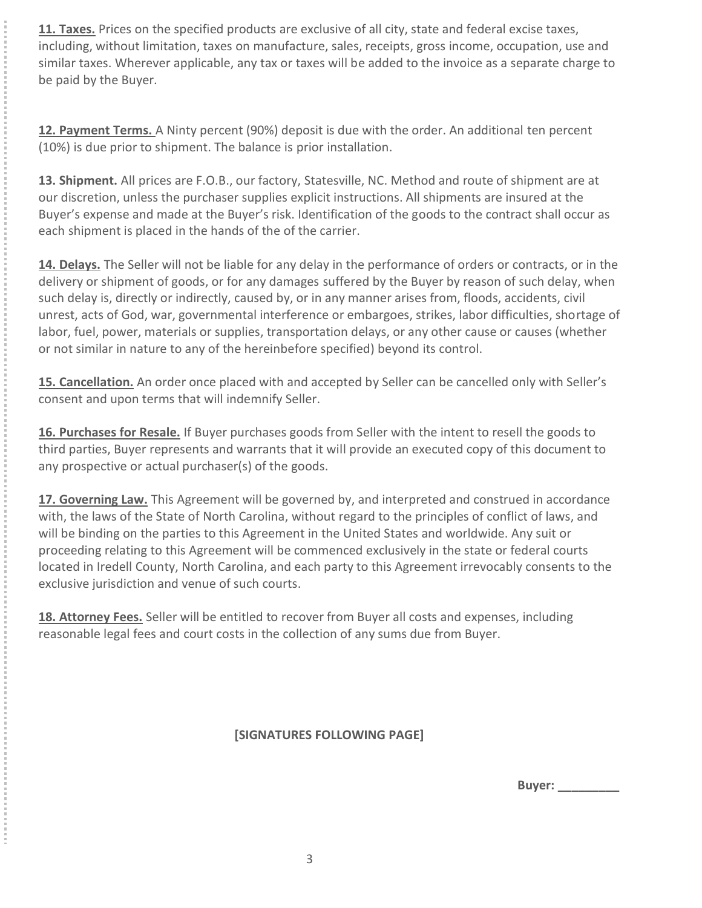**11. Taxes.** Prices on the specified products are exclusive of all city, state and federal excise taxes, including, without limitation, taxes on manufacture, sales, receipts, gross income, occupation, use and similar taxes. Wherever applicable, any tax or taxes will be added to the invoice as a separate charge to be paid by the Buyer.

**12. Payment Terms.** A Ninty percent (90%) deposit is due with the order. An additional ten percent (10%) is due prior to shipment. The balance is prior installation.

**13. Shipment.** All prices are F.O.B., our factory, Statesville, NC. Method and route of shipment are at our discretion, unless the purchaser supplies explicit instructions. All shipments are insured at the Buyer's expense and made at the Buyer's risk. Identification of the goods to the contract shall occur as each shipment is placed in the hands of the of the carrier.

**14. Delays.** The Seller will not be liable for any delay in the performance of orders or contracts, or in the delivery or shipment of goods, or for any damages suffered by the Buyer by reason of such delay, when such delay is, directly or indirectly, caused by, or in any manner arises from, floods, accidents, civil unrest, acts of God, war, governmental interference or embargoes, strikes, labor difficulties, shortage of labor, fuel, power, materials or supplies, transportation delays, or any other cause or causes (whether or not similar in nature to any of the hereinbefore specified) beyond its control.

15. Cancellation. An order once placed with and accepted by Seller can be cancelled only with Seller's consent and upon terms that will indemnify Seller.

**16. Purchases for Resale.** If Buyer purchases goods from Seller with the intent to resell the goods to third parties, Buyer represents and warrants that it will provide an executed copy of this document to any prospective or actual purchaser(s) of the goods.

**17. Governing Law.** This Agreement will be governed by, and interpreted and construed in accordance with, the laws of the State of North Carolina, without regard to the principles of conflict of laws, and will be binding on the parties to this Agreement in the United States and worldwide. Any suit or proceeding relating to this Agreement will be commenced exclusively in the state or federal courts located in Iredell County, North Carolina, and each party to this Agreement irrevocably consents to the exclusive jurisdiction and venue of such courts.

**18. Attorney Fees.** Seller will be entitled to recover from Buyer all costs and expenses, including reasonable legal fees and court costs in the collection of any sums due from Buyer.

**[SIGNATURES FOLLOWING PAGE]**

**Buyer: \_\_\_\_\_\_\_\_\_**